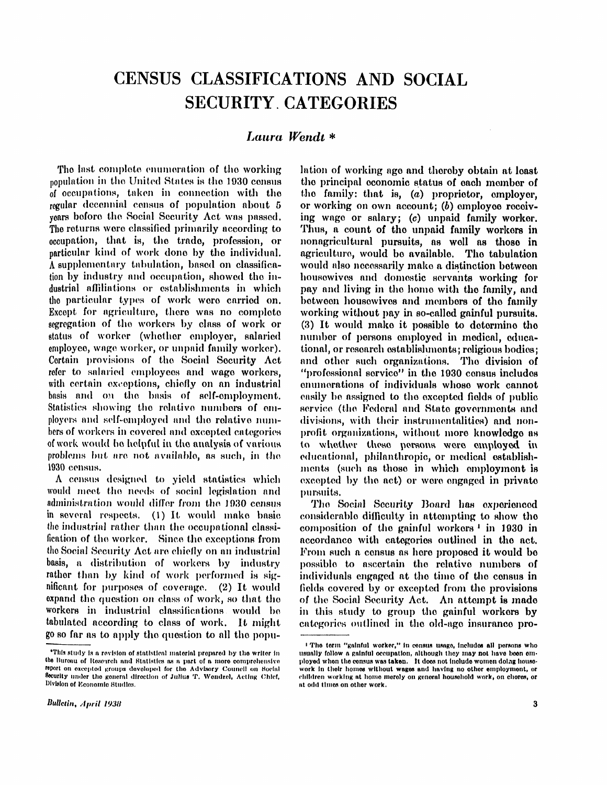# CENSUS CLASSIFICATIONS AND SOCIAL SECURITY CATEGORIES

# *Laura Wendt \**

The last complete enumeration of the working population in the United States is the 1930 census of occupations, taken in connection with the regular decennial census of population about 5 years before the Social Security Act was passed. The returns were classified primarily according to occupation, that is, the trade, profession, or particular kind of work done by the individual. A supplementary tabulation, based on classification by industry and occupation, showed the industrial affiliations or establishments in which the particular types of work were carried on. Except for agriculture, there was no complete segregation of the workers by class of work or status of worker (whether employer, salaried employee, wage worker, or unpaid family worker). Certain provisions of the Social Security Act refer to salaried employees and wage workers, with certain exceptions, chiefly on an industrial basis and on the basis of self-employment. Statistics showing the relative numbers of employers and self-employed and the relative numbers of workers in covered and excepted categories of work would be helpful in the analysis of various problems but are not available, *as* such, in the 1930 census.

A census designed to yield statistics which would meet the needs of social legislation and administration would differ from the 1930 census in several respects. (1) It would make basic the industrial rather than the occupational classification of the worker. Since the exceptions from the Social Security Act are chiefly on an industrial basis, a distribution of workers by industry rather than by kind of work performed is significant for purposes of coverage.  $(2)$  It would expand the question on class of work, so that the workers in industrial classifications would be tabulated according to class of work. It might go so far as to apply the question to all the population of working age and thereby obtain at least the principal economic status of each member of the family: that is,  $(a)$  proprietor, employer, or working on own account; (b) employee receiving wage or salary; (c) unpaid family worker. Thus, a count of the unpaid family workers in nonagricultural pursuits, as well as those in agriculture, would be available. The tabulation would also necessarily make a distinction between housewives and domestic servants working for pay and living in the home with the family, and between housewives and members of the family working without pay in so-called gainful pursuits.  $(3)$  It would make it possible to determine the number of persons employed in medical, educational, or research establishments; religious bodies; and other such organizations. The division of "professional service" in the 1930 census includes enumerations of individuals whose work cannot easily be assigned to the excepted fields of public service (the Federal and State governments and divisions, with their instrumentalities) and nonprofit organizations, without more knowledge as to whether these persons were employed in educational, philanthropic, or medical establishments (such as those in which employment is excepted by the act) or were engaged in private pursuits.

The Social Security Board has experienced considerable difficulty in attempting to show the composition of the gainful workers 1 in 1930 in accordance with categories outlined in the act. From such a census as here proposed it would be possible to ascertain the relative numbers of individuals engaged at the time of the census in fields covered by or excepted from the provisions of the Social Security Act. An attempt is made in this study to group the gainful workers by categories outlined in the old-age insurance pro-

<sup>\*</sup> This study is a revision of statistical material prepared by the writer in the Bureau of Research and Statistics as a part of a more comprehensive report on excepted groups developed for the Advisory Council on Social Security under the general direction of Julius T. Wendzel, Acting Chief, Division of Economic Studies.

<sup>&</sup>quot; The term "gainful worker," in census usage, includes all persons who usually follow a gainful occupation, although they may not have been employed when the census was taken. It does not include women doing housework in their homes without wages and having no other employment, or children working at home merely on general household work, on chores, or at odd times on other work.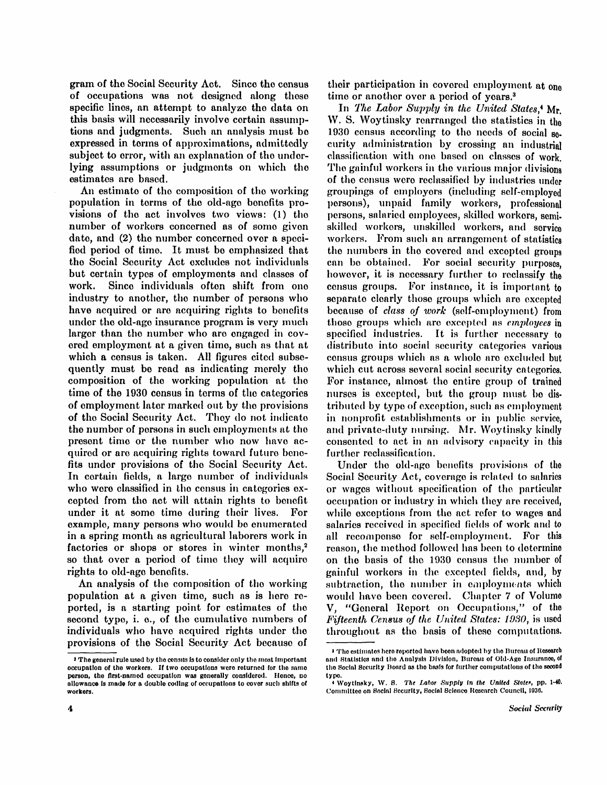gram of the Social Security Act. Since the census of occupations was not designed along these specific lines, an attempt to analyze the data on this basis will necessarily involve certain assumptions and judgments. Such an analysis must be expressed in terms of approximations, admittedly subject to error, with an explanation of the underlying assumptions or judgments on which the estimates are based.

An estimate of the composition of the working population in terms of the old-age benefits provisions of the act involves two views: (1) the number of workers concerned as of some given date, and (2) the number concerned over a specified period of time. It must be emphasized that the Social Security Act excludes not individuals but certain types of employments and classes of work. Since individuals often shift from one industry to another, the number of persons who have acquired or are acquiring rights to benefits under the old-age insurance program is very much larger than the number who are engaged in covered employment at a given time, such as that at which a consus is taken. All figures cited subsequently must be read as indicating merely the composition of the working population at the time of the 1930 census in terms of the categories of employment later marked out by the provisions of the Social Security Act. They do not indicate the number of persons in such employments at the present time or the number who now have acquired or are acquiring rights toward future benefits under provisions of the Social Security Act. In certain fields, a large number of individuals who were classified in the census in categories excepted from the act will attain rights to benefit under it at some time during their lives. For example, many persons who would be enumerated in a spring month as agricultural laborers work in factories or shops or stores in winter months,<sup>2</sup> so that over a period of time they will acquire rights to old-age benefits.

An analysis of the composition of the working population at a given time, such as is here reported, is a starting point for estimates of the second type, i. e., of the cumulative numbers of individuals who have acquired rights under the provisions of the Social Security Act because of their participation in covered employment at one time or another over a period of years.<sup>3</sup>

In The Labor Supply in the United States,<sup>4</sup> Mr. W. S. Woytinsky rearranged the statistics in the 1930 census according to the needs of social  $_{80}$ . curity administration by crossing an industrial classification with one based on classes of work. The gainful workers in the various major divisions of the census were reclassified by industries under groupings of employers (including self-employed persons), unpaid family workers, professional persons, salaried employees, skilled workers, semiskilled workers, unskilled workers, and service workers. From such an arrangement of statistics the numbers in the covered and excepted groups can be obtained. For social security purposes, however, it is necessary further to reclassify the census groups. For instance, it is important to separate clearly these groups which are excepted because of *class of work* (self-employment) from these groups which are excepted as *employees* in specified industries. It is further necessary to distribute into social security categories various census groups which as a whole are excluded but which cut across several social security categories. For instance, almost the entire group of trained nurses is excepted, but the group must be distributed by type of exception, such as employment in nonprofit establishments or in public service, and private-duty nursing. Mr. Woytinsky kindly consented to act in an advisory capacity in this further reclassification.

Under the old-age benefits provisions of the Social Security Act, coverage is related to salaries or wages without specification of the particular occupation or industry in which they are received, while exceptions from the act refer to wages and salaries received in specified fields of work and to all recompense for self-employment. For this reason, the method followed has been to determine on the basis of the 1930 census the number of gainful workers in the excepted fields, and, by subtraction, the number in employments which would have been covered. Chapter 7 of Volume V, "General Report on Occupations," of the *Fifteenth Census of the United States: 1930,* is used throughout as the basis of these computations.

<sup>&</sup>lt;sup>2</sup> The general rule used by the census is to consider only the most important occupation of the workers. If two occupations were returned for the same person, the first-named occupation was generally considered. Hence, no allowance is made for a double coding of occupations to cover such shifts of workers.

<sup>3</sup> The estimates here reported have been adopted by the Bureau of Research and Statistics and the Analysis Division, Bureau of Old-Age Insurance, of the Social Security Board as the basis for further computations of the second type

<sup>4</sup> Woytinsky , W . S. *The Labor Supply in the United States,* pp. 1-40. Committee on Social Security, Social Science Research Council, 1936.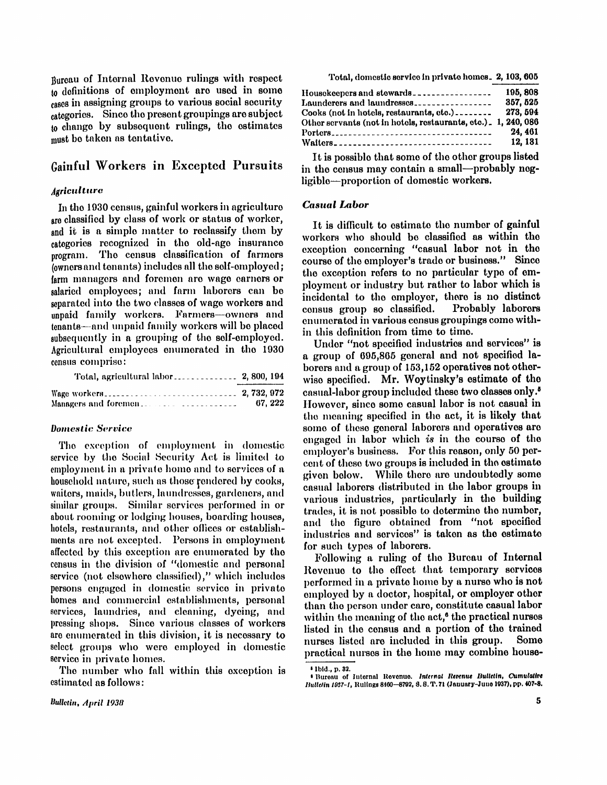Bureau of Internal Revenue rulings with respect to definitions of employment are used in some cases in assigning groups to various social security categories. Since the present groupings are subject to change by subsequent rulings, the estimates must be taken as tentative.

# Gainful Workers in Excepted Pursuits

## *Agriculture*

In the 1930 census, gainful workers in agriculture are classified by class of work or status of worker, and it is a simple matter to reclassify them by categories recognized in the old-age insurance program. The census classification of farmers (owners and tenants) includes all the self-employed; farm managers and foremen are wage earners or salaried employees; and farm laborers can be separated into the two classes of wage workers and unpaid family workers. Farmers—owners and tenants—and unpaid family workers wil l be placed subsequently in a grouping of the self-employed. Agricultural employees enumerated in the 1930 census comprise:

| Managers and foremen. | 67.222 |
|-----------------------|--------|

#### *Domestic Service*

The exception of employment in domestic service by the Social Security Act is limited to employment in a private home and to services of a household nature, such as those rendered by cooks, waiters, maids, butlers, laundresses, gardeners, and similar groups. Similar services performed in or about rooming or lodging houses, boarding houses, hotels, restaurants, and other offices or establishments are not excepted. Persons in employment affected by this exception are enumerated by the census in the division of "domestic and personal service (not elsewhere classified)," which includes persons engaged in domestic service in private homes and commercial establishments, personal services, laundries, and cleaning, dyeing, and pressing shops. Since various classes of workers are enumerated in this division, it is necessary to select groups who were employed in domestic service in private homes.

The number who fall within this exception is estimated as follows:

| 195, 808<br>Housekeepers and stewards<br>357, 525<br>Launderers and laundresses |  |
|---------------------------------------------------------------------------------|--|
|                                                                                 |  |
| 273.594<br>Cooks (not in hotels, restaurants, etc.)                             |  |
| Other servants (not in hotels, restaurants, etc.). 1, 240, 086                  |  |
| 24.461                                                                          |  |
| 12.181<br>Waiters                                                               |  |

Total, domestic service in private homes. 2, 103, 605

It is possible that some of the other groups listed in the census may contain a small—probably negligible—proportion of domestic workers.

#### *Casual Labor*

It is difficult to estimate the number of gainful workers who should be classified as within the exception concerning "casual labor not in the course of the employer's trade or business." Since the exception refers to no particular type of employment or industry but rather to labor which is incidental to the employer, there is no distinct census group so classified. Probably laborers enumerated in various census groupings come within this definition from time to time.

Under "not specified industries and services" is a group of 695,865 general and not specified laborers and a group of 153,152 operatives not otherwise specified. Mr. Woytinsky's estimate of the casual-labor group included these two classes only. <sup>5</sup> However, since some casual labor is not casual in the meaning specified in the act, it is likely that some of these general laborers and operatives are engaged in labor which is in the course of the employer's business. For this reason, only 50 percent of these two groups is included in the estimate given below. While there are undoubtedly some casual laborers distributed in the labor groups in various industries, particularly in the building trades, it is not possible to determine the number, and the figure obtained from "not specified industries and services" is taken as the estimate for such types of laborers.

Following a ruling of the Bureau of Internal Revenue to the effect that temporary services performed in a private home by a nurse who is not employed by a doctor, hospital, or employer other than the person under care, constitute casual labor within the meaning of the act,<sup>6</sup> the practical nurses listed in the census and a portion of the trained nurses listed are included in this group. Some practical nurses in the home may combine house-

<sup>5</sup> Ibid. , p. 32.

<sup>6</sup> Bureau of Internal Revenue. *Internal Revenue Bulletin, Cumulative Bulletin 1937-1,* Rulings 8460-8792, S. S. T . 71 (January-June 1937), pp. 407-8.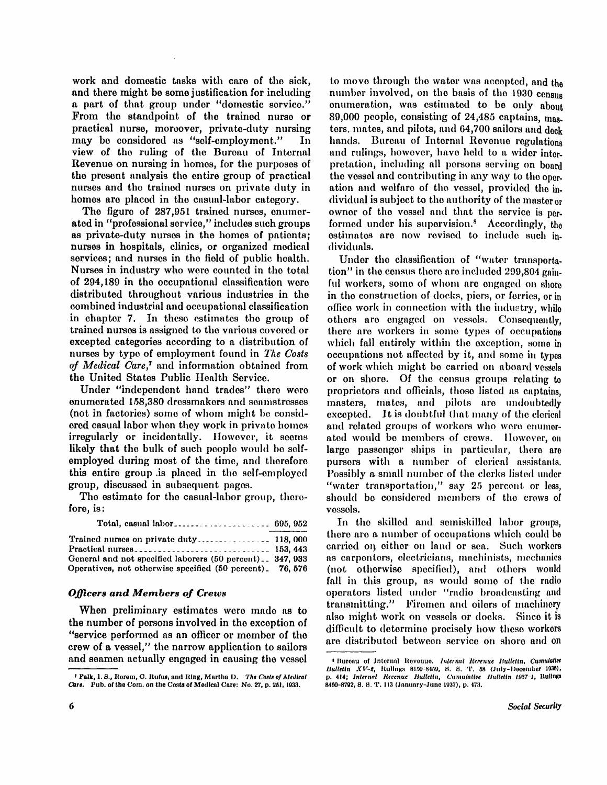work and domestic tasks with care of the sick, and there might be some justification for including a part of that group under "domestic service." From the standpoint of the trained nurse or practical nurse, moreover, private-duty nursing may be considered as "self-employment." In view of the ruling of the Bureau of Internal Revenue on nursing in homes, for the purposes of the present analysis the entire group of practical nurses and the trained nurses on private duty in homes are placed in the casual-labor category.

The figure of 287,951 trained nurses, enumerated in "professional service," includes such groups as private-duty nurses in the homes of patients; nurses in hospitals, clinics, or organized medical services; and nurses in the field of public health. Nurses in industry who were counted in the total of 294,189 in the occupational classification were distributed throughout various industries in the combined industrial and occupational classification in chapter 7. In these estimates the group of trained nurses is assigned to the various covered or excepted categories according to a distribution of nurses by type of employment found in *The Costs* of *Medical Care*,<sup>7</sup> and information obtained from the United States Public Health Service.

Under "independent hand trades" there were enumerated 1.58,380 dressmakers and seamstresses (not in factories) some of whom might be considered casual labor when they work in private homes irregularly or incidentally. However, it seems likely that the bulk of such people would be selfemployed during most of the time, and therefore this entire group is placed in the self-employed group, discussed in subsequent pages.

The estimate for the casual-labor group, therefore, is:

|--|--|--|--|

| General and not specified laborers (50 percent) 347, 933  |  |
|-----------------------------------------------------------|--|
| Operatives, not otherwise specified (50 percent). 76, 576 |  |

## *Officers and Members of Crews*

When preliminary estimates were made as to the number of persons involved in the exception of "service performed as an officer or member of the crew of a vessel," the narrow application to sailors and seamen actually engaged in causing the vessel

to move through the water was accepted, and the number involved, on the basis of the 1930 census enumeration, was estimated to be only about 89,000 people, consisting of 24,485 captains, masters, mates, and pilots, and 64,700 sailors and deck hands. Bureau of Internal Revenue regulations and rulings, however, have held to a wider interpretation, including all persons serving on board the vessel and contributing in any way to the operation and welfare of the vessel, provided the individual is subject to the authority of the master or owner of the vessel and that the service is performed under his supervision.<sup>8</sup> Accordingly, the estimates are now revised to include such individuals.

Under the classification of "water transportation" in the census there are included 299,804 gainful workers, some of whom are engaged on shore in the construction of docks, piers, or ferries, or in office work in connection with the industry, while others are engaged on vessels. Consequently, there are workers in some types of occupations which fall entirely within the exception, some in occupations not affected by it, and some in types of work which might be carried on aboard vessels or on shore. Of the census groups relating to proprietors and officials, those listed as captains, masters, mates, and pilots are undoubtedly excepted. It is doubtful that many of the clerical and related groups of workers who were enumerated would be members of crews. However, on large passenger ships in particular, there are pursers with a number of clerical assistants. Possibly a small number of the clerks listed under "water transportation," say 25 percent or less, should be considered members of the crews of vessels.

In the skilled and semiskilled labor groups, there are a number of occupations which could be carried on either on land or sea. Such workers as carpenters, electricians, machinists, mechanics (not otherwise specified), and others would fall in this group, as would some of the radio operators listed under "radio broadcasting and transmitting." Firemen and oilers of machinery also might work on vessels or docks. Since it is difficult to determine precisely how these workers are distributed between service on shore and on

<sup>&</sup>lt;sup>7</sup> Falk, I. S., Rorem, C. Rufus, and Ring, Martha D. The Costs of Medical Care. Pub. of the Com. on the Costs of Medical Care: No. 27, p. 251, 1933.

<sup>8</sup> Bureau of Internal Revenue. *Internal Revenue Bulletin, Cumulative Bulletin XV-2*, Rulings 8150-8459, S. S. T. 58 (July-December 1930), p. 414; *Internal Revenue Bulletin, Cumulative Bulletin 1937-1,* Rulings 8460-8792, S. S. T . 113 (January-June 1937), p. 473.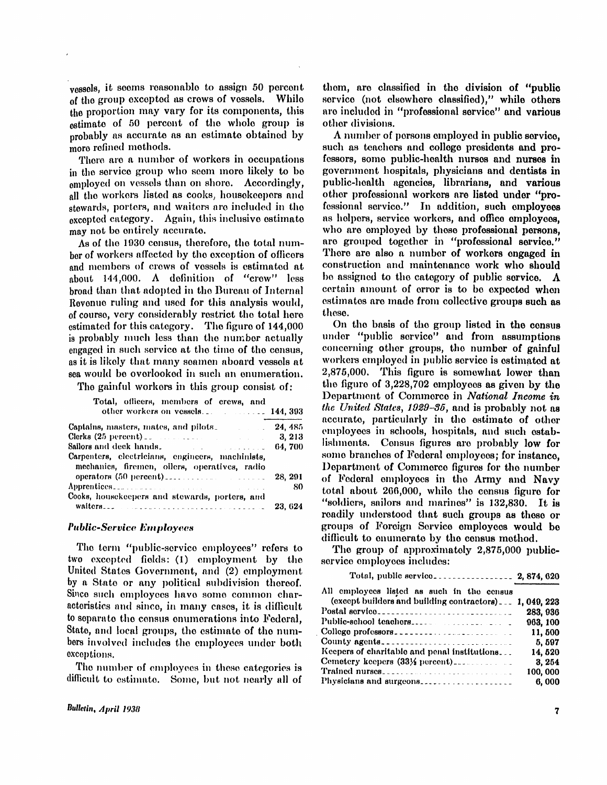vessels, it seems reasonable to assign 50 percent of the group excepted as crews of vessels. While the proportion may vary for its components, this estimate of 50 percent of the whole group is probably as accurate as an estimate obtained by more refined methods.

There are a number of workers in occupations in the service group who seem more likely to be employed on vessels than on shore. Accordingly, all the workers listed as cooks, housekeepers and stewards, porters, and waiters are included in the excepted category. Again, this inclusive estimate may not be entirely accurate.

ber of workers affected by the exception of officers<br>and members of crews of vessels is estimated at about 144,000. A definition of "crew" less broad than that adopted in the Bureau of Internal Revenue ruling and used for this sector. The used to of course, very court total legal restrict the total lines. estimated for the figure of the figure of 144,000  $\alpha$  is probably much less than the number actually engaged in such service at the time of the census, as it is likely that many seamen aboard vessels. as it is likely that many seamen aboard vessels at<br>sea would be overlooked in such an enumeration.

The gainful workers in this group consist of:

| Total, officers, members of crews, and                                                                        |         |
|---------------------------------------------------------------------------------------------------------------|---------|
| Captains, masters, mates, and pilots_                                                                         |         |
| Clerks $(25 \text{ percent})$ .                                                                               |         |
| Sailors and deck hands. The manufacturer of the Sailors of the Sailors of the Sailors of the Sailors of the S |         |
| Carpenters, electricians, engineers, machinists,<br>mechanics, firemen, oilers, operatives, radio             |         |
|                                                                                                               | 28, 291 |
|                                                                                                               | -80     |
| Cooks, housekeepers and stewards, porters, and                                                                |         |
|                                                                                                               | 23.624  |

#### *Public-Service E[mployees](http://ployv.es)*

The term "public-service employees" refers to two excepted fields: (1) employment by the United States Government, and (2) employment by a State or any political subdivision thereof. Since such employees have some common characteristics and since, in many cases, it is difficult to separate the census enumerations into Federal, State, and local groups, the estimate of the numbers involved includes the employees under both exceptions.

The number of employees in these categories is difficult to estimate. Some, but not nearly all of them, are classified in the division of "public service (not elsewhere classified)," while others are included in "professional service" and various other divisions.

As of the 1930 census, therefore, the total number are grouped together in processional serves.<br>There are also a number of workers engaged in A number of persons employed in public service, such as teachers and college presidents and professors, some public-health nurses and nurses in government hospitals, physicians and dentists in public-health agencies, librarians, and various other professional workers are listed under "professional service." In addition, such employees as helpers, service workers, and office employees, who are employed by these professional persons, are grouped together in "professional service." construction and maintenance work who should be assigned to the category of public service.  $\Lambda$ certain amount of error is to be expected when estimates are made from collective groups such as these.

> On the basis of the group listed in the census under "public service" and from assumptions concerning other groups, the number of gainful workers employed in public service is estimated at 2,875,000. This figure is somewhat lower than the figure of  $3,228,702$  employees as given by the Department of Commerce in *National Income in the United States, 1929-35,* and is probably not as accurate, particularly in the estimate of other employees in schools, hospitals, and such establishments. Census figures are probably low for some branches of Federal employees; for instance, Department of Commerce figures for the number of Federal employees in the Army and Navy total about 266,000, while the census figure for "soldiers, sailors and marines" is 132,830. It is readily understood that such groups as these or groups of Foreign Service employoees would be difficult to enumerate by the census method.

The group of approximately 2,875,000 publicservice employees includes:

| (except builders and building contractors) 1, 049, 223 |
|--------------------------------------------------------|
| 283, 936                                               |
| 963, 100                                               |
| 11,500                                                 |
| County agents<br>5,597                                 |
| 14,520                                                 |
| 3.254                                                  |
| 100,000                                                |
| 6,000                                                  |
|                                                        |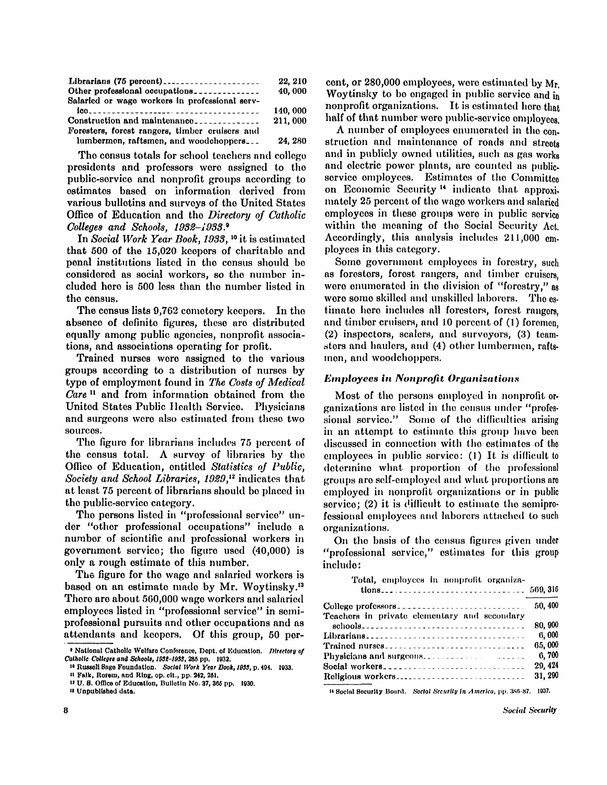| Librarians (75 percent)                        | 22, 210  |
|------------------------------------------------|----------|
| Other professional occupations                 | 40,000   |
| Salaried or wage workers in professional serv- |          |
|                                                | 140, 000 |
| Construction and maintenance                   | 211,000  |
| Foresters, forest rangers, timber cruisers and |          |
| lumbermen, raftsmen, and woodchoppers          | 24, 280  |

The census totals for school teachers and college presidents and professors were assigned to the public-service and nonprofit groups according to estimates based on information derived from various bulletins and surveys of the United States Office of Education and the *Directory of Catholic Colleges and Schools, 1982-1933. <sup>9</sup>*

In *Social Work Year Book, 1933*, <sup>10</sup> it is estimated that 500 of the 15,020 keepers of charitable and penal institutions listed in the census should be considered as social workers, so the number in cluded here is 500 less than the number listed in the census.

The census lists 9,762 cemetery keepers. In the absence of definite figures, these are distributed equally among public agencies, nonprofit associations, and associations operating for profit.

Trained nurses were assigned to the various groups according to a distribution of nurses by type of employment found in *The Costs of Medical* Care<sup>11</sup> and from information obtained from the United States Public Health Service. Physicians and surgeons were also estimated from these two sources.

The figure for librarians includes 75 percent of the census total. A survey of libraries by the Office of Education, entitled *Statistics of Public, Society and School Libraries, 1929,*<sup>12</sup> indicates that at least 75 percent of librarians should be placed in the public-service category.

The persons listed in "professional service" under "other professional occupations" include a number of scientific and professional workers in government service; the figure used (40,000) is only a rough estimate of this number.

The figure for the wage and salaried workers is based on an estimate made by Mr. Woytinsky.<sup>13</sup> There are about 500,000 wage workers and salaried employees listed in "professional service" in semiprofessional pursuits and other occupations and as attendants and keepers. Of this group, 50 per-

<sup>11</sup> Falk, Rorem, and Ring, op. cit., pp. 242, 251.

cent, or 280,000 employees, were estimated by Mr. Woytinsky to be engaged in public service and in nonprofit organizations. It is estimated here that half of that number were public-service employees.

A number of employees enumerated in the construction and maintenance of roads and streets and in publicly owned utilities, such as gas works and electric power plants, are counted as publicservice employees. Estimates of the Committee on Economic Security <sup>14</sup> indicate that approximately 25 percent of the wage workers and salaried employees in these groups were in public service within the meaning of the Social Security Act. Accordingly, this analysis includes 211,000 employees in this category.

Some government employees in forestry, such as foresters, forest rangers, and timber cruisers, were enumerated in the division of "forestry," as were some skilled and unskilled laborers. The estimate here includes all foresters, forest rangers, and timber cruisers, and 10 percent of (1) foremen, (2) inspectors, scalers, and surveyors, (3) teamsters and haulers, and (4) other lumbermen, raftsmen, and woodchoppers.

## *Employees in Nonprofit Organizations*

Most of the persons employed in nonprofit organizations are listed in the census under "professional service." Some of the difficulties arising in an attempt to estimate this group have been discussed in connection with the estimates of the employees in public service:  $(1)$  It is difficult to determine what proportion of the professional groups are self-employed and what proportions are employed in nonprofit organizations or in public service;  $(2)$  it is difficult to estimate the semiprofessional employees and laborers attached to such organizations.

On the basis of the census figures given under "professional service," estimates for this group include:

| Total, employees in nonprofit organiza-      |         |
|----------------------------------------------|---------|
|                                              | 50.400  |
| Teachers in private elementary and secondary | 80,900  |
| Librarians                                   | 6,000   |
| Trained nurses                               | 65,000  |
| Physicians and surgeons.                     | 6.700   |
| Social workers                               | 29, 424 |
| Religious workers                            | 31, 200 |

14 Social Security Board. *Social Security in America,* pp. 386-87. 1937.

<sup>&</sup>lt;sup>9</sup> National Catholic Welfare Conference, Dept. of Education. *Directory of Catholic Colleges and Schools, 1932-1933,* 285 pp. 1932.

<sup>10</sup> Russell Sage Foundation. *Social Work Year Book, 1933,* p. 494. 1933.

<sup>&</sup>lt;sup>12</sup> U.S. Office of Education, Bulletin No. 37, 365 pp. 1930. <sup>13</sup> Unpublished data.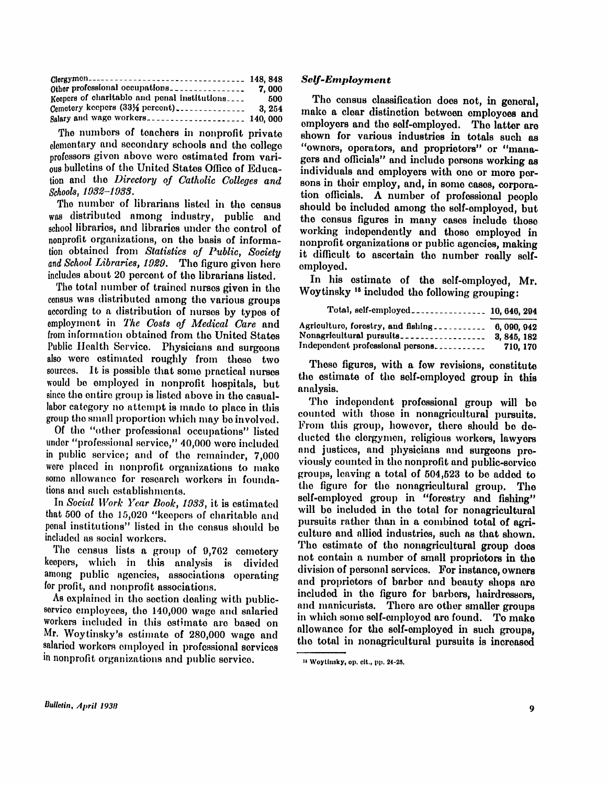| Clergymen----------------------------------- 148, 848 |        |
|-------------------------------------------------------|--------|
|                                                       | 7.000  |
| Keepers of charitable and penal institutions          | -500   |
| Cemetery keepers (33% percent)                        | 3. 254 |
|                                                       |        |

The numbers of teachers in nonprofit private elementary and secondary schools and the college professors given above were estimated from various bulletins of the United States Office of Education and the *Directory of Catholic Colleges and Schools, 1932-1933.* 

The number of librarians listed in the census was distributed among industry, public and school libraries, and libraries under the control of nonprofit organizations, on the basis of information obtained from *Statistics of Public, Society and School Libraries, 1929.* The figure given here includes about 20 percent of the librarians listed.

The total number of trained nurses given in the census was distributed among the various groups according to a distribution of nurses by types of employment in *The Costs of Medical Care* and from information obtained from the United States Public Health Service. Physicians and surgeons also were estimated roughly from these two sources. It is possible that some practical nurses would be employed in nonprofit hospitals, but since the entire group is listed above in the casuallabor category no attempt is made to place in this group the small proportion which may be involved.

Of the "other professional occupations" listed under "professional service," 40,000 were included in public service; and of the remainder, 7,000 were placed in nonprofit organizations to make some allowance for research workers in foundations and such establishments.

In *Social Work Year Book, 1933*, it is estimated that 500 of the 15,020 "keepers of charitable and penal institutions" listed in the census should be included as social workers.

The census lists a group of 9,762 cemetery keepers, which in this analysis is divided among public agencies, associations operating for profit, and nonprofit associations.

As explained in the section dealing with publicservice employees, the 140,000 wage and salaried workers included in this estimate are based on Mr. Woytinsky's estimate of 280,000 wage and salaried workers employed in professional services in nonprofit organizations and public service.

## *Self-Employment*

The census classification does not, in general, make a clear distinction between employees and employers and the self-employed. The latter are shown for various industries in totals such as "owners, operators, and proprietors" or "managers and officials" and include persons working as individuals and employers with one or more persons in their employ, and, in some cases, corporation officials. A number of professional people should be included among the self-employed, but the census figures in many cases include those working independently and these employed in nonprofit organizations or public agencies, making it difficult to ascertain the number really selfemployed.

In his estimate of the self-employed, Mr. Woytinsky  $16$  included the following grouping:

| Agriculture, forestry, and fishing.<br>Nonagricultural pursuits | 6, 090, 942<br>3, 845, 182 |
|-----------------------------------------------------------------|----------------------------|
| Independent professional persons                                | 710.170                    |

These figures, with a few revisions, constitute the estimate of the self-employed group in this analysis.

The independent professional group will be counted with those in nonagricultural pursuits. From this group, however, there should be deducted the clergymen, religious workers, lawyers and justices, and physicians and surgeons previously counted in the nonprofit and public-service groups, leaving a total of  $504,523$  to be added to the figure for the nonagricultural group. The self-employed group in "forestry and fishing" will be included in the total for nonagricultural pursuits rather than in a combined total of agriculture and allied industries, such as that shown. The estimate of the nonagricultural group does not contain a number of small proprietors in the division of personal services. For instance, owners and proprietors of barber and beauty shops are included in the figure for barbers, hairdressers. and manicurists. There are other smaller groups in which some self-employed are found. To make allowance for the self-employed in such groups, the total in nonagricultural pursuits is increased

<sup>15</sup> Woytinsky , op. cit., pp. 24-25.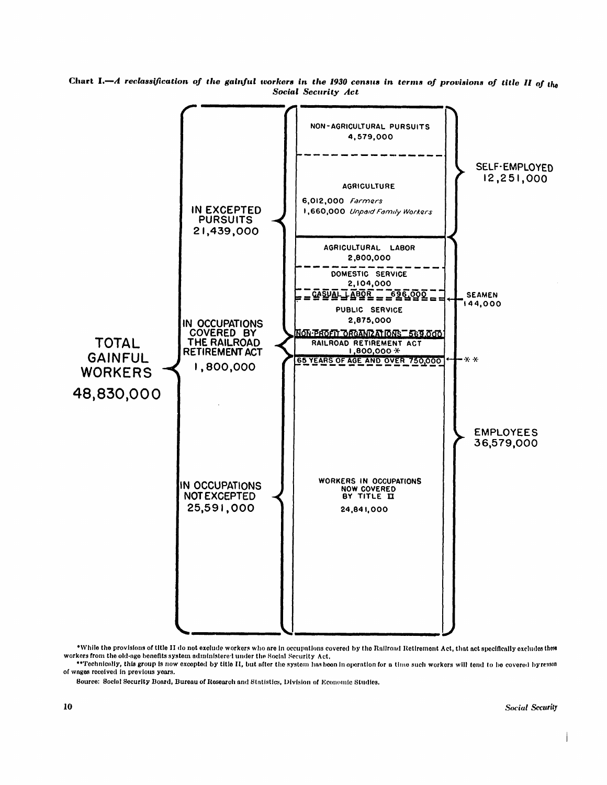

Chart I.—*A reclassification of the gainful workers in the 1930 census in terms of provisions of title II of the Social Security Act* 

\*While the provisions of title II do not exclude workers who are in occupations covered by the Railroad Retirement Act, that act specifically excludes these workers from the old-age benefits system administered under the Social Security Act,

\*\*Technically, this group is now excepted by title II, but after the system has been in operation for a time such workers will tend to be covered by resson of wages received in previous years.

Source: Social Security Board, Bureau of Research and Statistics, Division of Economic Studies.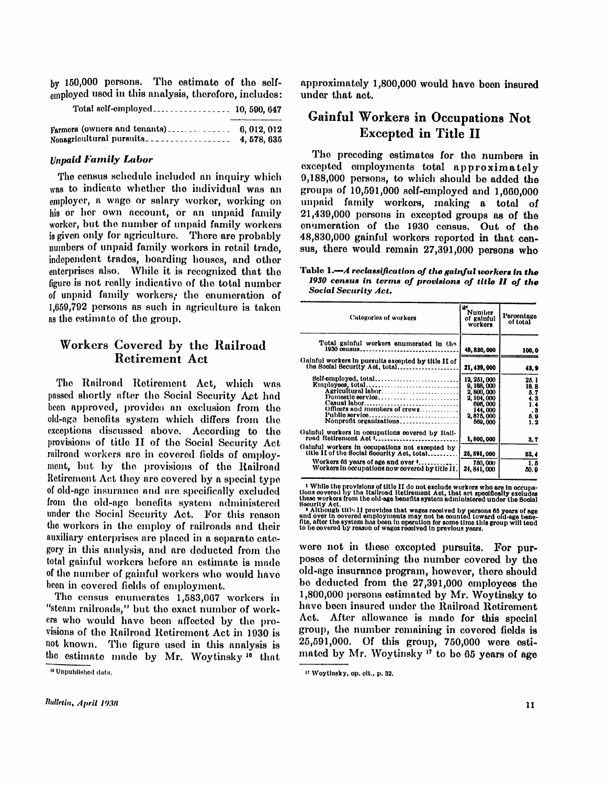by 150,000 persons. The estimate of the selfemployed used in this analysis, therefore, includes:

| 4, 578, 635 |
|-------------|

# *Unpaid Family Labor*

The census schedule included an inquiry which was to indicate whether the individual was an employer, a wage or salary worker, working on his or her own account, or an unpaid family worker, but the number of unpaid family workers is given only for agriculture. There are probably numbers of unpaid family workers in retail trade, independent trades, boarding houses, and other enterprises also. While it is recognized that the figure is not really indicative of the total number of unpaid family workers, the enumeration of 1,659,792 persons as such in agriculture is taken as the estimate of the group.

# Workers Covered by the Railroad Retirement Act

The Railroad Retirement Act, which was passed shortly after the Social Security Act had been approved, provides an exclusion from the old-age benefits system which differs from the exceptions discussed above. According to the provisions of title II of the Social Security Act railroad workers are in covered fields of employment, but by the provisions of the Railroad Retirement Act they are covered by a special type of old-age insurance and are specifically excluded from the old-age benefits system administered under the Social Security Act. For this reason the workers in the employ of railroads and their auxiliary enterprises are placed in a separate category in this analysis, and are deducted from the total gainful workers before an estimate is made of the number of gainful workers who would have been in covered fields of employment.

The census enumerates 1,583,067 workers in "steam railroads," but the exact number of workers who would have been affected by the provisions of the Railroad Retirement Act in 1930 is not known. The figure used in this analysis is the estimate made by Mr. Woytinsky <sup>16</sup> that

approximately 1,800,000 would have been insured under that act.

# Gainful Workers in Occupations Not Excepted in Title II

The preceding estimates for the numbers in excepted employments total approximately 9,188,000 persons, to which should be added the groups of 10,591,000 self-employed and 1,660,000 unpaid family workers, making a total of  $21,439,000$  persons in excepted groups as of the enumeration of the 1930 census. Out of the 48,830,000 gainful workers reported in that census, there would remain 27,391,000 persons who

Table 1.—*A reclassification, of the gainful workers in the*  1930 census in terms of provisions of title II of the *Social Security Act.* 

| Categories of workers                                                                                                                                                                 | ü۷<br>Number<br>of gainful<br>workers                                                      | l'orcentage<br>of total                          |
|---------------------------------------------------------------------------------------------------------------------------------------------------------------------------------------|--------------------------------------------------------------------------------------------|--------------------------------------------------|
| Total gainful workers enumerated in the<br>1930 oensus                                                                                                                                | 48, 830, 000                                                                               | 100.0                                            |
| Gainful workers in pursuits excepted by title II of<br>the Social Security Act. total                                                                                                 | 21, 439, 000                                                                               | 43.9                                             |
| Bolf-omployed, total<br>Casual labor<br>Officers and members of crews<br>Public service                                                                                               | 12, 251, 000<br>9, 188, 000<br>2,800,000<br>2, 104, 000<br>696,000<br>144,000<br>2,875,000 | 25. 1<br>18.8<br>5.7<br>4. 3<br>1.4<br>.8<br>5.9 |
| Nonprofit organizations<br>Gainful workers in occupations covered by Rail-<br>road Retirement Act Lessonnesses                                                                        | 569.000<br>1,800,000                                                                       | 1.2<br>3, 7                                      |
| Gainful workers in occupations not excepted by<br>title II of the Social Security Act, total<br>Workers 65 years of age and over "<br>Workers in occupations now covered by title II. | 25.591.000<br>750,000<br>24, 841, 000                                                      | 52.4<br>1.5<br>60. 9                             |

- While the provisions of title II do not exclude workers who are in occupational control.<br>Hons covered by the Railroad Retirement Act, that art speedfleally excludes<br>these workers from the old-age benefits system administ

Socurity Act.<br>
• Although title II provides that wages recoived by persons 65 years of age<br>
• Although title II provides that wages recoived by persons 65 years of age<br>
file, after the system has been in operation for some

were not in these excepted pursuits. For purposes of determining the number covered by the old-age insurance program, however, there should be deducted from the 27,391,000 employees the 1,800,000 persons estimated by Mr. Woytinsky to have been insured under the Railroad Retirement Act. After allowance is made for this special group, the number remaining in covered fields is 25,591,000. Of this group, 750,000 were estimated by Mr. Woytinsky <sup>17</sup> to be 65 years of age

<sup>16</sup> Unpublished data.

<sup>17</sup> Woytinsky , op. cit., p. 32.